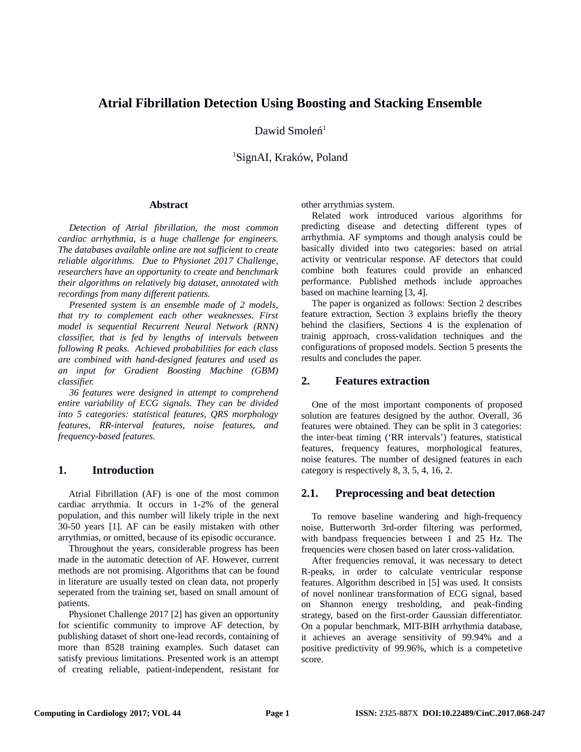# **Atrial Fibrillation Detection Using Boosting and Stacking Ensemble**

Dawid Smoleń<sup>1</sup>

<sup>1</sup>SignAI, Kraków, Poland

#### **Abstract**

*Detection of Atrial fibrillation, the most common cardiac arrhythmia, is a huge challenge for engineers. The databases available online are not sufficient to create reliable algorithms. Due to Physionet 2017 Challenge, researchers have an opportunity to create and benchmark their algorithms on relatively big dataset, annotated with recordings from many different patients.* 

*Presented system is an ensemble made of 2 models, that try to complement each other weaknesses. First model is sequential Recurrent Neural Network (RNN) classifier, that is fed by lengths of intervals between following R peaks. Achieved probabilities for each class are combined with hand-designed features and used as an input for Gradient Boosting Machine (GBM) classifier.*

*36 features were designed in attempt to comprehend entire variability of ECG signals. They can be divided into 5 categories: statistical features, QRS morphology features, RR-interval features, noise features, and frequency-based features.*

### **1. Introduction**

Atrial Fibrillation (AF) is one of the most common cardiac arrythmia. It occurs in 1-2% of the general population, and this number will likely triple in the next 30-50 years [1]. AF can be easily mistaken with other arrythmias, or omitted, because of its episodic occurance.

Throughout the years, considerable progress has been made in the automatic detection of AF. However, current methods are not promising. Algorithms that can be found in literature are usually tested on clean data, not properly seperated from the training set, based on small amount of patients.

Physionet Challenge 2017 [2] has given an opportunity for scientific community to improve AF detection, by publishing dataset of short one-lead records, containing of more than 8528 training examples. Such dataset can satisfy previous limitations. Presented work is an attempt of creating reliable, patient-independent, resistant for other arrythmias system.

Related work introduced various algorithms for predicting disease and detecting different types of arrhythmia. AF symptoms and though analysis could be basically divided into two categories: based on atrial activity or ventricular response. AF detectors that could combine both features could provide an enhanced performance. Published methods include approaches based on machine learning [3, 4].

The paper is organized as follows: Section 2 describes feature extraction, Section 3 explains briefly the theory behind the clasifiers, Sections 4 is the explenation of trainig approach, cross-validation techniques and the configurations of proposed models. Section 5 presents the results and concludes the paper.

### **2. Features extraction**

One of the most important components of proposed solution are features designed by the author. Overall, 36 features were obtained. They can be split in 3 categories: the inter-beat timing ('RR intervals') features, statistical features, frequency features, morphological features, noise features. The number of designed features in each category is respectively 8, 3, 5, 4, 16, 2.

### **2.1. Preprocessing and beat detection**

To remove baseline wandering and high-frequency noise, Butterworth 3rd-order filtering was performed, with bandpass frequencies between 1 and 25 Hz. The frequencies were chosen based on later cross-validation.

After frequencies removal, it was necessary to detect R-peaks, in order to calculate ventricular response features. Algorithm described in [5] was used. It consists of novel nonlinear transformation of ECG signal, based on Shannon energy tresholding, and peak-finding strategy, based on the first-order Gaussian differentiator. On a popular benchmark, MIT-BIH arrhythmia database, it achieves an average sensitivity of 99.94% and a positive predictivity of 99.96%, which is a competetive score.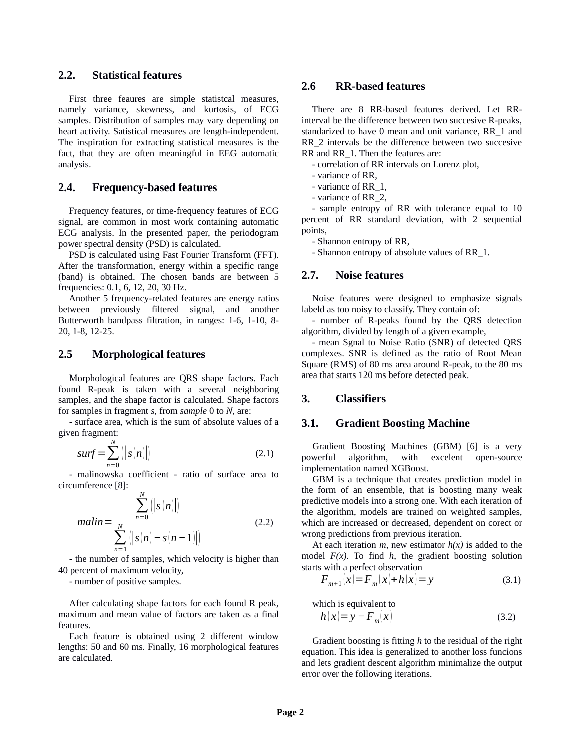## **2.2. Statistical features**

First three feaures are simple statistcal measures, namely variance, skewness, and kurtosis, of ECG samples. Distribution of samples may vary depending on heart activity. Satistical measures are length-independent. The inspiration for extracting statistical measures is the fact, that they are often meaningful in EEG automatic analysis.

### **2.4. Frequency-based features**

Frequency features, or time-frequency features of ECG signal, are common in most work containing automatic ECG analysis. In the presented paper, the periodogram power spectral density (PSD) is calculated.

PSD is calculated using Fast Fourier Transform (FFT). After the transformation, energy within a specific range (band) is obtained. The chosen bands are between 5 frequencies: 0.1, 6, 12, 20, 30 Hz.

Another 5 frequency-related features are energy ratios between previously filtered signal, and another Butterworth bandpass filtration, in ranges: 1-6, 1-10, 8- 20, 1-8, 12-25.

### **2.5 Morphological features**

Morphological features are QRS shape factors. Each found R-peak is taken with a several neighboring samples, and the shape factor is calculated. Shape factors for samples in fragment *s,* from *sample* 0 to *N,* are:

- surface area, which is the sum of absolute values of a given fragment:

$$
surf = \sum_{n=0}^{N} (|s(n)|)
$$
 (2.1)

- malinowska coefficient - ratio of surface area to circumference [8]:

$$
malin = \frac{\sum_{n=0}^{N} (|s(n)|)}{\sum_{n=1}^{N} (|s(n) - s(n-1)|)}
$$
(2.2)

- the number of samples, which velocity is higher than 40 percent of maximum velocity,

- number of positive samples.

After calculating shape factors for each found R peak, maximum and mean value of factors are taken as a final features.

Each feature is obtained using 2 different window lengths: 50 and 60 ms. Finally, 16 morphological features are calculated.

### **2.6 RR-based features**

There are 8 RR-based features derived. Let RRinterval be the difference between two succesive R-peaks, standarized to have 0 mean and unit variance, RR\_1 and RR<sub>2</sub> intervals be the difference between two succesive RR and RR 1. Then the features are:

- correlation of RR intervals on Lorenz plot,

- variance of RR,
- variance of RR\_1,
- variance of RR\_2,

- sample entropy of RR with tolerance equal to 10 percent of RR standard deviation, with 2 sequential points,

- Shannon entropy of RR,

- Shannon entropy of absolute values of RR\_1.

#### **2.7. Noise features**

Noise features were designed to emphasize signals labeld as too noisy to classify. They contain of:

- number of R-peaks found by the QRS detection algorithm, divided by length of a given example,

- mean Sgnal to Noise Ratio (SNR) of detected QRS complexes. SNR is defined as the ratio of Root Mean Square (RMS) of 80 ms area around R-peak, to the 80 ms area that starts 120 ms before detected peak.

### **3. Classifiers**

### **3.1. Gradient Boosting Machine**

Gradient Boosting Machines (GBM) [6] is a very powerful algorithm, with excelent open-source implementation named XGBoost.

GBM is a technique that creates prediction model in the form of an ensemble, that is boosting many weak predictive models into a strong one. With each iteration of the algorithm, models are trained on weighted samples, which are increased or decreased, dependent on corect or wrong predictions from previous iteration.

At each iteration  $m$ , new estimator  $h(x)$  is added to the model *F(x)*. To find *h*, the gradient boosting solution starts with a perfect observation

$$
F_{m+1}(x) = F_m(x) + h(x) = y \tag{3.1}
$$

which is equivalent to

$$
h(x)=y-F_m(x) \tag{3.2}
$$

Gradient boosting is fitting *h* to the residual of the right equation. This idea is generalized to another loss funcions and lets gradient descent algorithm minimalize the output error over the following iterations.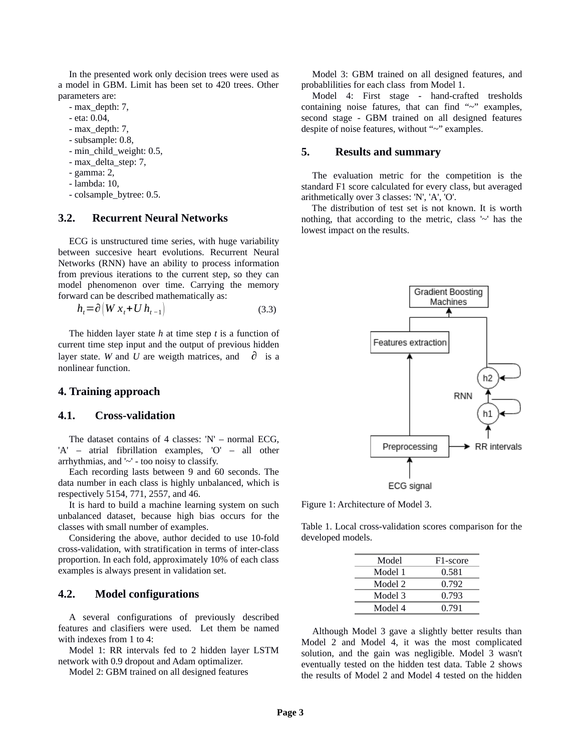In the presented work only decision trees were used as a model in GBM. Limit has been set to 420 trees. Other parameters are:

- max\_depth: 7,
- eta: 0.04,
- max\_depth: 7,
- subsample: 0.8,
- min\_child\_weight: 0.5,
- max\_delta\_step: 7,
- gamma: 2,
- lambda: 10,
- colsample\_bytree: 0.5.

#### **3.2. Recurrent Neural Networks**

ECG is unstructured time series, with huge variability between succesive heart evolutions. Recurrent Neural Networks (RNN) have an ability to process information from previous iterations to the current step, so they can model phenomenon over time. Carrying the memory forward can be described mathematically as:

$$
h_t = \partial \left( W \, x_t + U \, h_{t-1} \right) \tag{3.3}
$$

The hidden layer state *h* at time step *t* is a function of current time step input and the output of previous hidden layer state. *W* and *U* are weigth matrices, and  $\partial$  is a nonlinear function.

#### **4. Training approach**

#### **4.1. Cross-validation**

The dataset contains of 4 classes:  $'N'$  – normal ECG, 'A' – atrial fibrillation examples, 'O' – all other arrhythmias, and '~' - too noisy to classify.

Each recording lasts between 9 and 60 seconds. The data number in each class is highly unbalanced, which is respectively 5154, 771, 2557, and 46.

It is hard to build a machine learning system on such unbalanced dataset, because high bias occurs for the classes with small number of examples.

Considering the above, author decided to use 10-fold cross-validation, with stratification in terms of inter-class proportion. In each fold, approximately 10% of each class examples is always present in validation set.

#### **4.2. Model configurations**

A several configurations of previously described features and clasifiers were used. Let them be named with indexes from 1 to 4:

Model 1: RR intervals fed to 2 hidden layer LSTM network with 0.9 dropout and Adam optimalizer.

Model 2: GBM trained on all designed features

Model 3: GBM trained on all designed features, and probablilities for each class from Model 1.

Model 4: First stage - hand-crafted tresholds containing noise fatures, that can find " $\sim$ " examples, second stage - GBM trained on all designed features despite of noise features, without "~" examples.

#### **5. Results and summary**

The evaluation metric for the competition is the standard F1 score calculated for every class, but averaged arithmetically over 3 classes: 'N', 'A', 'O'.

The distribution of test set is not known. It is worth nothing, that according to the metric, class '~' has the lowest impact on the results.



Figure 1: Architecture of Model 3.

Table 1. Local cross-validation scores comparison for the developed models.

| Model   | F <sub>1</sub> -score |
|---------|-----------------------|
| Model 1 | 0.581                 |
| Model 2 | 0.792                 |
| Model 3 | 0.793                 |
| Model 4 | 0.791                 |

 Although Model 3 gave a slightly better results than Model 2 and Model 4, it was the most complicated solution, and the gain was negligible. Model 3 wasn't eventually tested on the hidden test data. Table 2 shows the results of Model 2 and Model 4 tested on the hidden